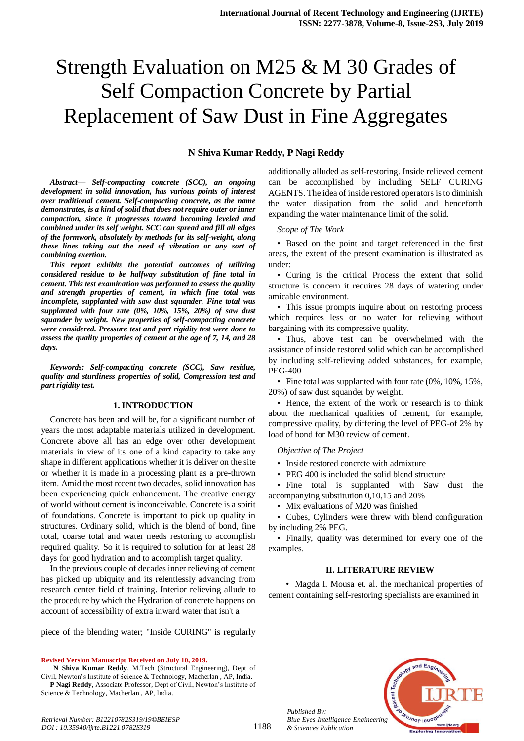# Strength Evaluation on M25 & M 30 Grades of Self Compaction Concrete by Partial Replacement of Saw Dust in Fine Aggregates

#### **N Shiva Kumar Reddy, P Nagi Reddy**

*Abstract***—** *Self-compacting concrete (SCC), an ongoing development in solid innovation, has various points of interest over traditional cement. Self-compacting concrete, as the name demonstrates, is a kind of solid that does not require outer or inner compaction, since it progresses toward becoming leveled and combined under its self weight. SCC can spread and fill all edges of the formwork, absolutely by methods for its self-weight, along these lines taking out the need of vibration or any sort of combining exertion.* 

*This report exhibits the potential outcomes of utilizing considered residue to be halfway substitution of fine total in cement. This test examination was performed to assess the quality and strength properties of cement, in which fine total was incomplete, supplanted with saw dust squander. Fine total was supplanted with four rate (0%, 10%, 15%, 20%) of saw dust squander by weight. New properties of self-compacting concrete were considered. Pressure test and part rigidity test were done to assess the quality properties of cement at the age of 7, 14, and 28 days.*

*Keywords: Self-compacting concrete (SCC), Saw residue, quality and sturdiness properties of solid, Compression test and part rigidity test.*

#### **1. INTRODUCTION**

Concrete has been and will be, for a significant number of years the most adaptable materials utilized in development. Concrete above all has an edge over other development materials in view of its one of a kind capacity to take any shape in different applications whether it is deliver on the site or whether it is made in a processing plant as a pre-thrown item. Amid the most recent two decades, solid innovation has been experiencing quick enhancement. The creative energy of world without cement is inconceivable. Concrete is a spirit of foundations. Concrete is important to pick up quality in structures. Ordinary solid, which is the blend of bond, fine total, coarse total and water needs restoring to accomplish required quality. So it is required to solution for at least 28 days for good hydration and to accomplish target quality.

In the previous couple of decades inner relieving of cement has picked up ubiquity and its relentlessly advancing from research center field of training. Interior relieving allude to the procedure by which the Hydration of concrete happens on account of accessibility of extra inward water that isn't a

piece of the blending water; "Inside CURING" is regularly

**Revised Version Manuscript Received on July 10, 2019.**

**N Shiva Kumar Reddy**, M.Tech (Structural Engineering), Dept of Civil, Newton's Institute of Science & Technology, Macherlan , AP, India. **P Nagi Reddy**, Associate Professor, Dept of Civil, Newton's Institute of Science & Technology, Macherlan , AP, India.

additionally alluded as self-restoring. Inside relieved cement can be accomplished by including SELF CURING AGENTS. The idea of inside restored operators is to diminish the water dissipation from the solid and henceforth expanding the water maintenance limit of the solid.

*Scope of The Work*

• Based on the point and target referenced in the first areas, the extent of the present examination is illustrated as under:

• Curing is the critical Process the extent that solid structure is concern it requires 28 days of watering under amicable environment.

• This issue prompts inquire about on restoring process which requires less or no water for relieving without bargaining with its compressive quality.

• Thus, above test can be overwhelmed with the assistance of inside restored solid which can be accomplished by including self-relieving added substances, for example, PEG-400

• Fine total was supplanted with four rate (0%, 10%, 15%, 20%) of saw dust squander by weight.

• Hence, the extent of the work or research is to think about the mechanical qualities of cement, for example, compressive quality, by differing the level of PEG-of 2% by load of bond for M30 review of cement.

#### *Objective of The Project*

- Inside restored concrete with admixture
- PEG 400 is included the solid blend structure

• Fine total is supplanted with Saw dust the accompanying substitution 0,10,15 and 20%

• Mix evaluations of M20 was finished

• Cubes, Cylinders were threw with blend configuration by including 2% PEG.

• Finally, quality was determined for every one of the examples.

#### **II. LITERATURE REVIEW**

• Magda I. Mousa et. al. the mechanical properties of cement containing self-restoring specialists are examined in



*Published By: Blue Eyes Intelligence Engineering & Sciences Publication*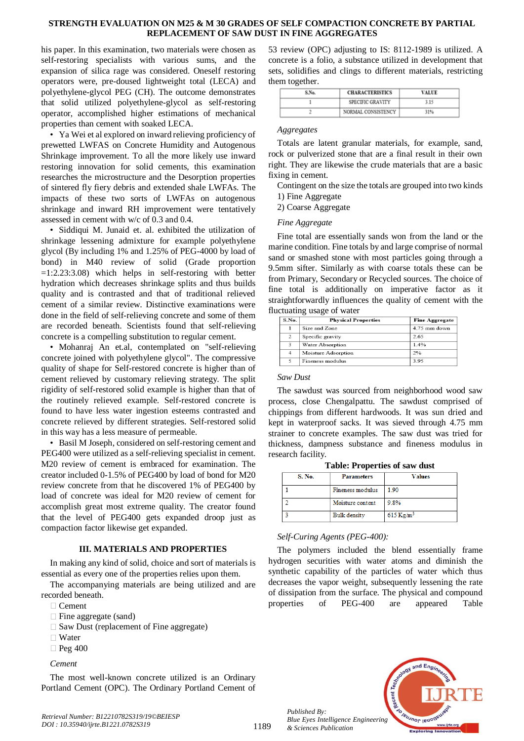### **STRENGTH EVALUATION ON M25 & M 30 GRADES OF SELF COMPACTION CONCRETE BY PARTIAL REPLACEMENT OF SAW DUST IN FINE AGGREGATES**

his paper. In this examination, two materials were chosen as self-restoring specialists with various sums, and the expansion of silica rage was considered. Oneself restoring operators were, pre-doused lightweight total (LECA) and polyethylene-glycol PEG (CH). The outcome demonstrates that solid utilized polyethylene-glycol as self-restoring operator, accomplished higher estimations of mechanical properties than cement with soaked LECA.

• Ya Wei et al explored on inward relieving proficiency of prewetted LWFAS on Concrete Humidity and Autogenous Shrinkage improvement. To all the more likely use inward restoring innovation for solid cements, this examination researches the microstructure and the Desorption properties of sintered fly fiery debris and extended shale LWFAs. The impacts of these two sorts of LWFAs on autogenous shrinkage and inward RH improvement were tentatively assessed in cement with w/c of 0.3 and 0.4.

• Siddiqui M. Junaid et. al. exhibited the utilization of shrinkage lessening admixture for example polyethylene glycol (By including 1% and 1.25% of PEG-4000 by load of bond) in M40 review of solid (Grade proportion  $=1:2.23:3.08$ ) which helps in self-restoring with better hydration which decreases shrinkage splits and thus builds quality and is contrasted and that of traditional relieved cement of a similar review. Distinctive examinations were done in the field of self-relieving concrete and some of them are recorded beneath. Scientists found that self-relieving concrete is a compelling substitution to regular cement.

• Mohanraj An et.al, contemplated on "self-relieving concrete joined with polyethylene glycol". The compressive quality of shape for Self-restored concrete is higher than of cement relieved by customary relieving strategy. The split rigidity of self-restored solid example is higher than that of the routinely relieved example. Self-restored concrete is found to have less water ingestion esteems contrasted and concrete relieved by different strategies. Self-restored solid in this way has a less measure of permeable.

• Basil M Joseph, considered on self-restoring cement and PEG400 were utilized as a self-relieving specialist in cement. M20 review of cement is embraced for examination. The creator included 0-1.5% of PEG400 by load of bond for M20 review concrete from that he discovered 1% of PEG400 by load of concrete was ideal for M20 review of cement for accomplish great most extreme quality. The creator found that the level of PEG400 gets expanded droop just as compaction factor likewise get expanded.

## **III. MATERIALS AND PROPERTIES**

In making any kind of solid, choice and sort of materials is essential as every one of the properties relies upon them.

The accompanying materials are being utilized and are recorded beneath.

- □ Cement
- Fine aggregate (sand)
- $\square$  Saw Dust (replacement of Fine aggregate)
- □ Water
- $\Box$  Peg 400

*Cement* 

The most well-known concrete utilized is an Ordinary Portland Cement (OPC). The Ordinary Portland Cement of

53 review (OPC) adjusting to IS: 8112-1989 is utilized. A concrete is a folio, a substance utilized in development that sets, solidifies and clings to different materials, restricting them together.

| S.No. | <b>CHARACTERISTICS</b> | <b>VALUE</b> |
|-------|------------------------|--------------|
|       | SPECIFIC GRAVITY       | 3.15         |
|       | NORMAL CONSISTENCY     | 31%          |

#### *Aggregates*

Totals are latent granular materials, for example, sand, rock or pulverized stone that are a final result in their own right. They are likewise the crude materials that are a basic fixing in cement.

Contingent on the size the totals are grouped into two kinds 1) Fine Aggregate

2) Coarse Aggregate

## *Fine Aggregate*

Fine total are essentially sands won from the land or the marine condition. Fine totals by and large comprise of normal sand or smashed stone with most particles going through a 9.5mm sifter. Similarly as with coarse totals these can be from Primary, Secondary or Recycled sources. The choice of fine total is additionally on imperative factor as it straightforwardly influences the quality of cement with the fluctuating usage of water

| S.No.          | <b>Physical Properties</b> | <b>Fine Aggregate</b> |
|----------------|----------------------------|-----------------------|
| 1              | Size and Zone              | $4.75$ mm down        |
| $\mathfrak{D}$ | Specific gravity           | 2.65                  |
| 3              | Water Absorption           | 1.4%                  |
| $\overline{4}$ | Moisture Adsorption        | 2%                    |
| 5              | Fineness modulus           | 395                   |

#### *Saw Dust*

The sawdust was sourced from neighborhood wood saw process, close Chengalpattu. The sawdust comprised of chippings from different hardwoods. It was sun dried and kept in waterproof sacks. It was sieved through 4.75 mm strainer to concrete examples. The saw dust was tried for thickness, dampness substance and fineness modulus in research facility.

| <b>S. No.</b> | <b>Parameters</b>   | <b>Values</b>        |
|---------------|---------------------|----------------------|
|               | Fineness modulus    | 1.90                 |
|               | Moisture content    | 9.8%                 |
|               | <b>Rull</b> density | $615$ K $\sigma/m^3$ |

# **Table: Properties of saw dust**

## *Self-Curing Agents (PEG-400):*

The polymers included the blend essentially frame hydrogen securities with water atoms and diminish the synthetic capability of the particles of water which thus decreases the vapor weight, subsequently lessening the rate of dissipation from the surface. The physical and compound properties of PEG-400 are appeared Table



*Published By: Blue Eyes Intelligence Engineering & Sciences Publication*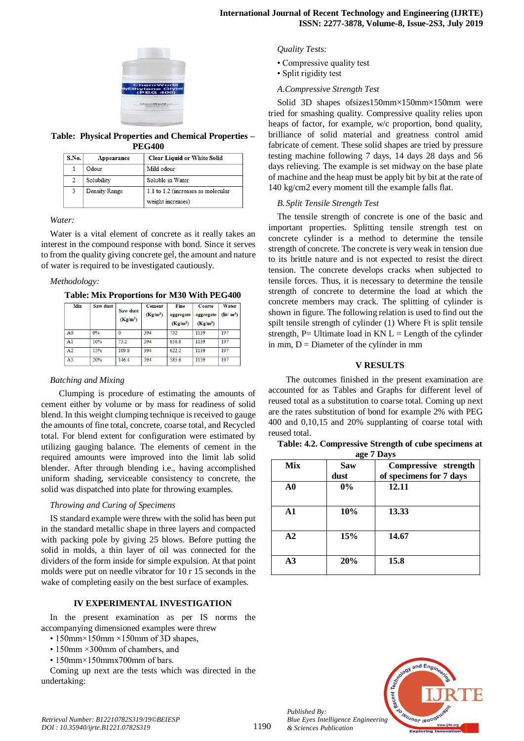

#### **Table: Physical Properties and Chemical Properties – PEG400**

| S.No. | Appearance    | <b>Clear Liquid or White Solid</b> |
|-------|---------------|------------------------------------|
|       | Odour         | Mild odour                         |
| 2     | Solubility    | Soluble in Water                   |
|       | Density Range | 1.1 to 1.2 (increases as molecular |
|       |               | weight increases)                  |

*Water:*

Water is a vital element of concrete as it really takes an interest in the compound response with bond. Since it serves to from the quality giving concrete gel, the amount and nature of water is required to be investigated cautiously.

## *Methodology:*

| Mix            | Saw dust | Saw dust<br>$(Kg/m^3)$ | <b>Cement</b><br>$(Kg/m^3)$ | Fine<br>aggregate<br>$(Kg/m^3)$ | <b>Coarse</b><br>aggregate<br>$(Kg/m^3)$ | Water<br>$(\text{lit}/\text{m}^3)$ |
|----------------|----------|------------------------|-----------------------------|---------------------------------|------------------------------------------|------------------------------------|
| A <sub>0</sub> | 0%       |                        | 394                         | 732                             | 1139                                     | 197                                |
| A <sub>1</sub> | 10%      | 73.2                   | 394                         | 658.8                           | 1139                                     | 197                                |
| A2             | 15%      | 1098                   | 394                         | 622.2                           | 1139                                     | 197                                |
| A <sup>3</sup> | 20%      | 146.4                  | 394                         | 585.6                           | 1139                                     | 197                                |

## *Batching and Mixing*

Clumping is procedure of estimating the amounts of cement either by volume or by mass for readiness of solid blend. In this weight clumping technique is received to gauge the amounts of fine total, concrete, coarse total, and Recycled total. For blend extent for configuration were estimated by utilizing gauging balance. The elements of cement in the required amounts were improved into the limit lab solid blender. After through blending i.e., having accomplished uniform shading, serviceable consistency to concrete, the solid was dispatched into plate for throwing examples.

## *Throwing and Curing of Specimens*

IS standard example were threw with the solid has been put in the standard metallic shape in three layers and compacted with packing pole by giving 25 blows. Before putting the solid in molds, a thin layer of oil was connected for the dividers of the form inside for simple expulsion. At that point molds were put on needle vibrator for 10 r 15 seconds in the wake of completing easily on the best surface of examples.

## **IV EXPERIMENTAL INVESTIGATION**

In the present examination as per IS norms the accompanying dimensioned examples were threw

- 150mm×150mm ×150mm of 3D shapes,
- 150mm ×300mm of chambers, and
- 150mm×150mmx700mm of bars.

Coming up next are the tests which was directed in the undertaking:

### *Quality Tests:*

- Compressive quality test
- Split rigidity test
- *A.Compressive Strength Test*

Solid 3D shapes ofsizes150mm×150mm×150mm were tried for smashing quality. Compressive quality relies upon heaps of factor, for example, w/c proportion, bond quality, brilliance of solid material and greatness control amid fabricate of cement. These solid shapes are tried by pressure testing machine following 7 days, 14 days 28 days and 56 days relieving. The example is set midway on the base plate of machine and the heap must be apply bit by bit at the rate of 140 kg/cm2 every moment till the example falls flat.

## *B. Split Tensile Strength Test*

The tensile strength of concrete is one of the basic and important properties. Splitting tensile strength test on concrete cylinder is a method to determine the tensile strength of concrete. The concrete is very weak in tension due to its brittle nature and is not expected to resist the direct tension. The concrete develops cracks when subjected to tensile forces. Thus, it is necessary to determine the tensile strength of concrete to determine the load at which the concrete members may crack. The splitting of cylinder is shown in figure. The following relation is used to find out the spilt tensile strength of cylinder (1) Where Ft is split tensile strength, P= Ultimate load in  $KN L =$  Length of the cylinder in mm,  $D =$  Diameter of the cylinder in mm

# **V RESULTS**

The outcomes finished in the present examination are accounted for as Tables and Graphs for different level of reused total as a substitution to coarse total. Coming up next are the rates substitution of bond for example 2% with PEG 400 and 0,10,15 and 20% supplanting of coarse total with reused total.

|            | ---- ·     | $   , -$                |
|------------|------------|-------------------------|
| <b>Mix</b> | <b>Saw</b> | Compressive strength    |
|            | dust       | of specimens for 7 days |
| ${\bf A0}$ | $0\%$      | 12.11                   |
| ${\bf A1}$ | 10%        | 13.33                   |
| A2         | 15%        | 14.67                   |
| A3         | 20%        | 15.8                    |

**Table: 4.2. Compressive Strength of cube specimens at age 7 Days**



*Retrieval Number: B12210782S319/19©BEIESP DOI : 10.35940/ijrte.B1221.0782S319*

*Published By:*

*& Sciences Publication*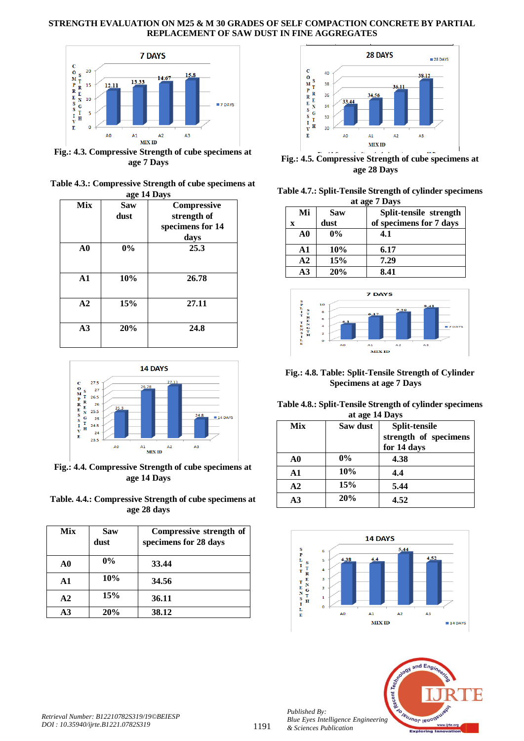# **STRENGTH EVALUATION ON M25 & M 30 GRADES OF SELF COMPACTION CONCRETE BY PARTIAL REPLACEMENT OF SAW DUST IN FINE AGGREGATES**



**Fig.: 4.3. Compressive Strength of cube specimens at age 7 Days**

| Table 4.3.: Compressive Strength of cube specimens at |
|-------------------------------------------------------|
| age 14 Days                                           |

| <b>Mix</b> | -ு<br><b>Saw</b> | Compressive      |
|------------|------------------|------------------|
|            |                  |                  |
|            | dust             | strength of      |
|            |                  | specimens for 14 |
|            |                  | days             |
| ${\bf A0}$ | 0%               | 25.3             |
| A1         | 10%              | 26.78            |
| A2         | 15%              | 27.11            |
| A3         | 20%              | 24.8             |



**Fig.: 4.4. Compressive Strength of cube specimens at age 14 Days**

| Table. 4.4.: Compressive Strength of cube specimens at |
|--------------------------------------------------------|
| age 28 days                                            |

| Mix            | <b>Saw</b><br>dust | Compressive strength of<br>specimens for 28 days |
|----------------|--------------------|--------------------------------------------------|
| A <sub>0</sub> | $0\%$              | 33.44                                            |
| $\mathbf{A1}$  | 10%                | 34.56                                            |
| A <sub>2</sub> | 15%                | 36.11                                            |
| A3             | 20%                | 38.12                                            |



**Fig.: 4.5. Compressive Strength of cube specimens at age 28 Days**

| Table 4.7.: Split-Tensile Strength of cylinder specimens |
|----------------------------------------------------------|
| at age 7 Days                                            |

| Mi             | Saw   | Split-tensile strength  |  |  |
|----------------|-------|-------------------------|--|--|
| X              | dust  | of specimens for 7 days |  |  |
| $\bf{A0}$      | $0\%$ | 4.1                     |  |  |
| $\mathbf{A1}$  | 10%   | 6.17                    |  |  |
| A <sub>2</sub> | 15%   | 7.29                    |  |  |
| A <sub>3</sub> | 20%   | 8.41                    |  |  |



# **Fig.: 4.8. Table: Split-Tensile Strength of Cylinder Specimens at age 7 Days**

# **Table 4.8.: Split-Tensile Strength of cylinder specimens at age 14 Days**

| Mix            | Saw dust | Split-tensile         |
|----------------|----------|-----------------------|
|                |          | strength of specimens |
|                |          | for 14 days           |
| A0             | $0\%$    | 4.38                  |
| $\mathbf{A1}$  | 10%      | 4.4                   |
| A <sub>2</sub> | 15%      | 5.44                  |
| A3             | 20%      | 4.52                  |





*Published By:*

*& Sciences Publication*